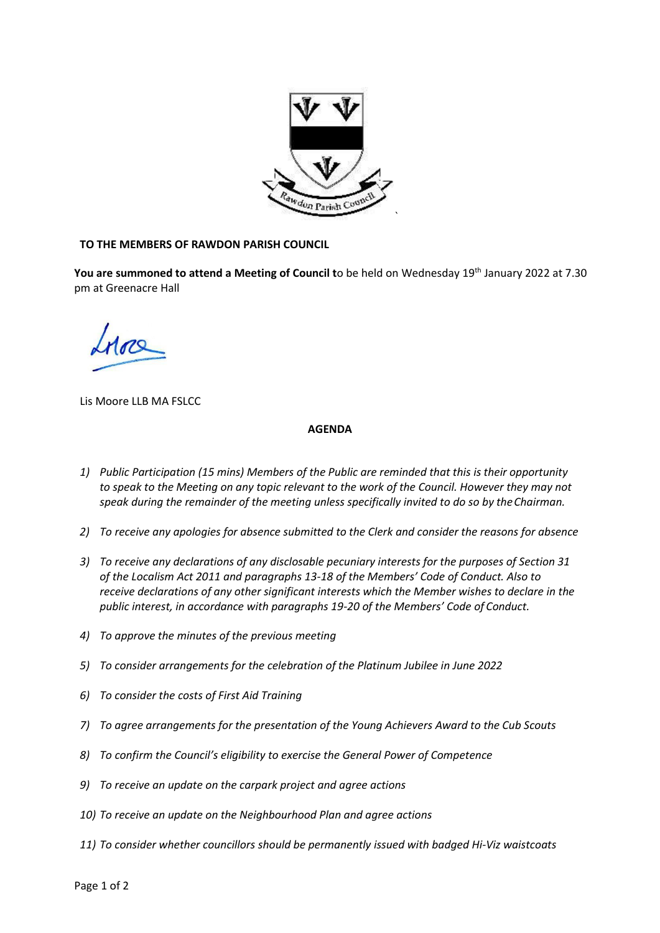

## **TO THE MEMBERS OF RAWDON PARISH COUNCIL**

**You are summoned to attend a Meeting of Council t**o be held on Wednesday 19 th January 2022 at 7.30 pm at Greenacre Hall

Lis Moore LLB MA FSLCC

## **AGENDA**

- *1) Public Participation (15 mins) Members of the Public are reminded that this is their opportunity to speak to the Meeting on any topic relevant to the work of the Council. However they may not speak during the remainder of the meeting unless specifically invited to do so by theChairman.*
- *2) To receive any apologies for absence submitted to the Clerk and consider the reasons for absence*
- *3) To receive any declarations of any disclosable pecuniary interests for the purposes of Section 31 of the Localism Act 2011 and paragraphs 13-18 of the Members' Code of Conduct. Also to receive declarations of any other significant interests which the Member wishes to declare in the public interest, in accordance with paragraphs 19-20 of the Members' Code of Conduct.*
- *4) To approve the minutes of the previous meeting*
- *5) To consider arrangements for the celebration of the Platinum Jubilee in June 2022*
- *6) To consider the costs of First Aid Training*
- *7) To agree arrangements for the presentation of the Young Achievers Award to the Cub Scouts*
- *8) To confirm the Council's eligibility to exercise the General Power of Competence*
- *9) To receive an update on the carpark project and agree actions*
- *10) To receive an update on the Neighbourhood Plan and agree actions*
- *11) To consider whether councillors should be permanently issued with badged Hi-Viz waistcoats*

Page 1 of 2